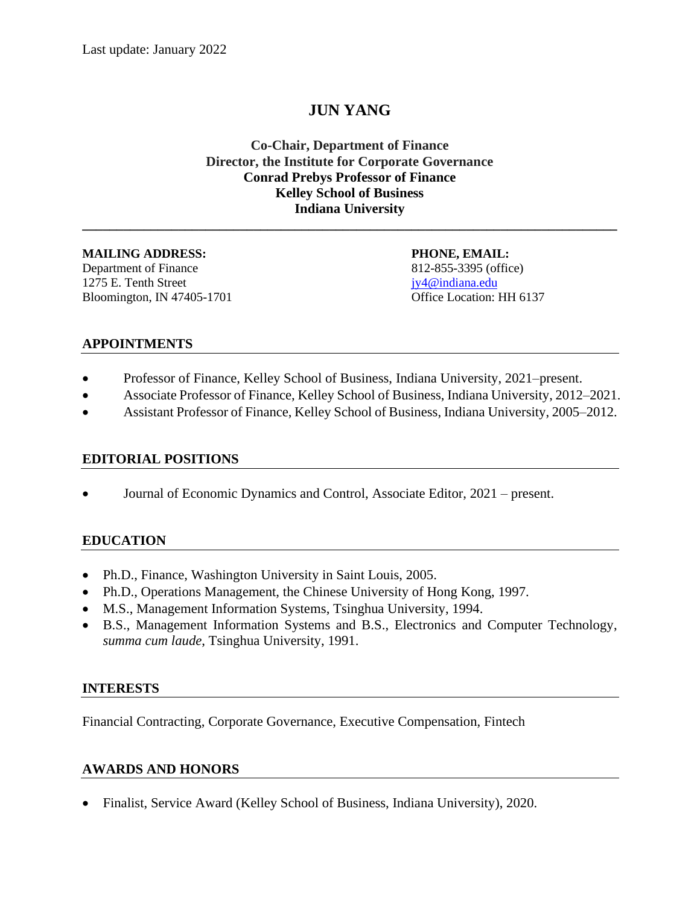# **JUN YANG**

**Co-Chair, Department of Finance Director, the Institute for Corporate Governance Conrad Prebys Professor of Finance Kelley School of Business Indiana University**

**\_\_\_\_\_\_\_\_\_\_\_\_\_\_\_\_\_\_\_\_\_\_\_\_\_\_\_\_\_\_\_\_\_\_\_\_\_\_\_\_\_\_\_\_\_\_\_\_\_\_\_\_\_\_\_\_\_\_\_\_\_\_\_\_\_\_\_\_\_\_\_\_\_\_\_\_\_\_**

#### **MAILING ADDRESS: PHONE, EMAIL:**

Department of Finance 812-855-3395 (office) 1275 E. Tenth Street [jy4@indiana.edu](mailto:jy4@indiana.edu) Bloomington, IN 47405-1701 Office Location: HH 6137

#### **APPOINTMENTS**

- Professor of Finance, Kelley School of Business, Indiana University, 2021–present.
- Associate Professor of Finance, Kelley School of Business, Indiana University, 2012–2021.
- Assistant Professor of Finance, Kelley School of Business, Indiana University, 2005–2012.

#### **EDITORIAL POSITIONS**

• Journal of Economic Dynamics and Control, Associate Editor, 2021 – present.

#### **EDUCATION**

- Ph.D., Finance, Washington University in Saint Louis, 2005.
- Ph.D., Operations Management, the Chinese University of Hong Kong, 1997.
- M.S., Management Information Systems, Tsinghua University, 1994.
- B.S., Management Information Systems and B.S., Electronics and Computer Technology, *summa cum laude*, Tsinghua University, 1991.

#### **INTERESTS**

Financial Contracting, Corporate Governance, Executive Compensation, Fintech

#### **AWARDS AND HONORS**

• Finalist, Service Award (Kelley School of Business, Indiana University), 2020.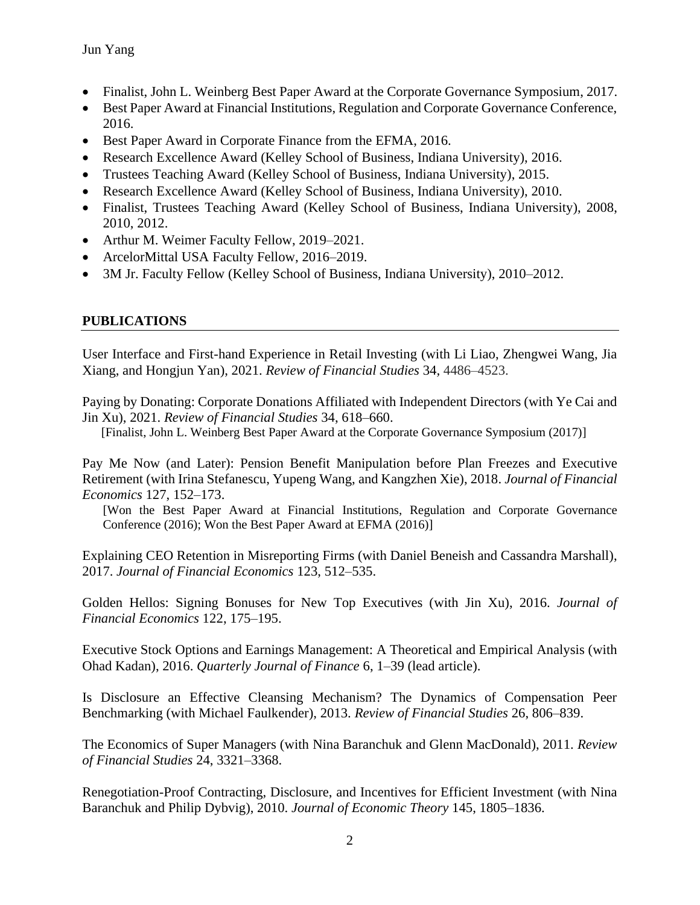- Finalist, John L. Weinberg Best Paper Award at the Corporate Governance Symposium, 2017.
- Best Paper Award at Financial Institutions, Regulation and Corporate Governance Conference, 2016.
- Best Paper Award in Corporate Finance from the EFMA, 2016.
- Research Excellence Award (Kelley School of Business, Indiana University), 2016.
- Trustees Teaching Award (Kelley School of Business, Indiana University), 2015.
- Research Excellence Award (Kelley School of Business, Indiana University), 2010.
- Finalist, Trustees Teaching Award (Kelley School of Business, Indiana University), 2008, 2010, 2012.
- Arthur M. Weimer Faculty Fellow, 2019–2021.
- ArcelorMittal USA Faculty Fellow, 2016–2019.
- 3M Jr. Faculty Fellow (Kelley School of Business, Indiana University), 2010–2012.

#### **PUBLICATIONS**

User Interface and First-hand Experience in Retail Investing (with Li Liao, Zhengwei Wang, Jia Xiang, and Hongjun Yan), 2021. *Review of Financial Studies* 34*,* 4486–4523.

Paying by Donating: Corporate Donations Affiliated with Independent Directors (with Ye Cai and Jin Xu), 2021. *Review of Financial Studies* 34, 618–660.

[Finalist, John L. Weinberg Best Paper Award at the Corporate Governance Symposium (2017)]

Pay Me Now (and Later): Pension Benefit Manipulation before Plan Freezes and Executive Retirement (with Irina Stefanescu, Yupeng Wang, and Kangzhen Xie), 2018. *Journal of Financial Economics* 127, 152–173.

[Won the Best Paper Award at [Financial Institutions, Regulation and Corporate Governance](http://www.eventbrite.com.au/e/financial-institutions-regulation-and-corporate-governance-fircg-conference-registration-19774729749?utm_source=eb_email&utm_medium=email&utm_campaign=order_confirmation_email&utm_term=eventname&ref=eemailordconf)  [Conference](http://www.eventbrite.com.au/e/financial-institutions-regulation-and-corporate-governance-fircg-conference-registration-19774729749?utm_source=eb_email&utm_medium=email&utm_campaign=order_confirmation_email&utm_term=eventname&ref=eemailordconf) (2016); Won the Best Paper Award at EFMA (2016)]

Explaining CEO Retention in Misreporting Firms (with Daniel Beneish and Cassandra Marshall), 2017. *Journal of Financial Economics* 123, 512–535.

Golden Hellos: Signing Bonuses for New Top Executives (with Jin Xu), 2016. *Journal of Financial Economics* 122, 175–195.

Executive Stock Options and Earnings Management: A Theoretical and Empirical Analysis (with Ohad Kadan), 2016. *Quarterly Journal of Finance* 6, 1–39 (lead article).

Is Disclosure an Effective Cleansing Mechanism? The Dynamics of Compensation Peer Benchmarking (with Michael Faulkender), 2013. *Review of Financial Studies* 26, 806–839.

The Economics of Super Managers (with Nina Baranchuk and Glenn MacDonald), 2011. *Review of Financial Studies* 24, 3321–3368.

Renegotiation-Proof Contracting, Disclosure, and Incentives for Efficient Investment (with Nina Baranchuk and Philip Dybvig), 2010. *Journal of Economic Theory* 145, 1805–1836.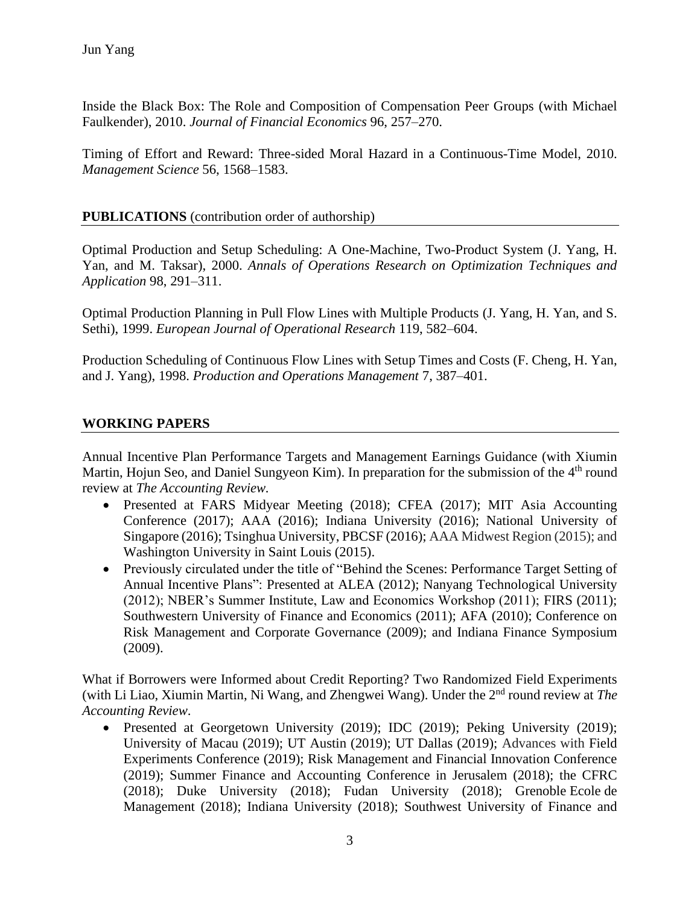Inside the Black Box: The Role and Composition of Compensation Peer Groups (with Michael Faulkender), 2010. *Journal of Financial Economics* 96, 257–270.

Timing of Effort and Reward: Three-sided Moral Hazard in a Continuous-Time Model, 2010. *Management Science* 56, 1568–1583.

#### **PUBLICATIONS** (contribution order of authorship)

Optimal Production and Setup Scheduling: A One-Machine, Two-Product System (J. Yang, H. Yan, and M. Taksar), 2000. *Annals of Operations Research on Optimization Techniques and Application* 98, 291–311.

Optimal Production Planning in Pull Flow Lines with Multiple Products (J. Yang, H. Yan, and S. Sethi), 1999. *European Journal of Operational Research* 119, 582–604.

Production Scheduling of Continuous Flow Lines with Setup Times and Costs (F. Cheng, H. Yan, and J. Yang), 1998. *Production and Operations Management* 7, 387–401.

#### **WORKING PAPERS**

Annual Incentive Plan Performance Targets and Management Earnings Guidance (with Xiumin Martin, Hojun Seo, and Daniel Sungyeon Kim). In preparation for the submission of the 4<sup>th</sup> round review at *The Accounting Review.*

- Presented at FARS Midyear Meeting (2018); CFEA (2017); MIT Asia Accounting Conference (2017); AAA (2016); Indiana University (2016); National University of Singapore (2016); Tsinghua University, PBCSF (2016); AAA Midwest Region (2015); and Washington University in Saint Louis (2015).
- Previously circulated under the title of "Behind the Scenes: Performance Target Setting of Annual Incentive Plans": Presented at ALEA (2012); Nanyang Technological University (2012); NBER's Summer Institute, Law and Economics Workshop (2011); FIRS (2011); Southwestern University of Finance and Economics (2011); AFA (2010); Conference on Risk Management and Corporate Governance (2009); and Indiana Finance Symposium (2009).

What if Borrowers were Informed about Credit Reporting? Two Randomized Field Experiments (with Li Liao, Xiumin Martin, Ni Wang, and Zhengwei Wang). Under the 2nd round review at *The Accounting Review*.

• Presented at Georgetown University (2019); IDC (2019); Peking University (2019); University of Macau (2019); UT Austin (2019); UT Dallas (2019); Advances with Field Experiments Conference (2019); Risk Management and Financial Innovation Conference (2019); Summer Finance and Accounting Conference in Jerusalem (2018); the CFRC (2018); Duke University (2018); Fudan University (2018); Grenoble Ecole de Management (2018); Indiana University (2018); Southwest University of Finance and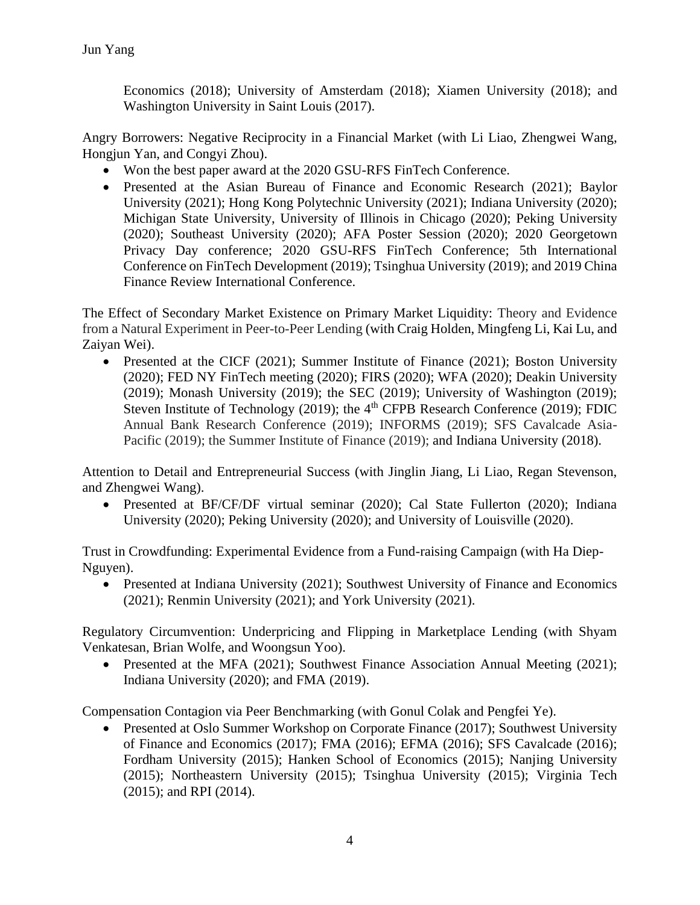Economics (2018); University of Amsterdam (2018); Xiamen University (2018); and Washington University in Saint Louis (2017).

Angry Borrowers: Negative Reciprocity in a Financial Market (with Li Liao, Zhengwei Wang, Hongjun Yan, and Congyi Zhou).

- Won the best paper award at the 2020 GSU-RFS FinTech Conference.
- Presented at the Asian Bureau of Finance and Economic Research (2021); Baylor University (2021); Hong Kong Polytechnic University (2021); Indiana University (2020); Michigan State University, University of Illinois in Chicago (2020); Peking University (2020); Southeast University (2020); AFA Poster Session (2020); 2020 Georgetown Privacy Day conference; 2020 GSU-RFS FinTech Conference; 5th International Conference on FinTech Development (2019); Tsinghua University (2019); and 2019 China Finance Review International Conference.

The Effect of Secondary Market Existence on Primary Market Liquidity: Theory and Evidence from a Natural Experiment in Peer-to-Peer Lending (with Craig Holden, Mingfeng Li, Kai Lu, and Zaiyan Wei).

• Presented at the CICF (2021); Summer Institute of Finance (2021); Boston University (2020); FED NY FinTech meeting (2020); FIRS (2020); WFA (2020); Deakin University (2019); Monash University (2019); the SEC (2019); University of Washington (2019); Steven Institute of Technology (2019); the  $4<sup>th</sup>$  CFPB Research Conference (2019); FDIC Annual Bank Research Conference (2019); INFORMS (2019); SFS Cavalcade Asia-Pacific (2019); the Summer Institute of Finance (2019); and Indiana University (2018).

Attention to Detail and Entrepreneurial Success (with Jinglin Jiang, Li Liao, Regan Stevenson, and Zhengwei Wang).

• Presented at BF/CF/DF virtual seminar (2020); Cal State Fullerton (2020); Indiana University (2020); Peking University (2020); and University of Louisville (2020).

Trust in Crowdfunding: Experimental Evidence from a Fund-raising Campaign (with Ha Diep-Nguyen).

• Presented at Indiana University (2021); Southwest University of Finance and Economics (2021); Renmin University (2021); and York University (2021).

Regulatory Circumvention: Underpricing and Flipping in Marketplace Lending (with Shyam Venkatesan, Brian Wolfe, and Woongsun Yoo).

• Presented at the MFA (2021); Southwest Finance Association Annual Meeting (2021); Indiana University (2020); and FMA (2019).

Compensation Contagion via Peer Benchmarking (with Gonul Colak and Pengfei Ye).

• Presented at Oslo Summer Workshop on Corporate Finance (2017); Southwest University of Finance and Economics (2017); FMA (2016); EFMA (2016); SFS Cavalcade (2016); Fordham University (2015); Hanken School of Economics (2015); Nanjing University (2015); Northeastern University (2015); Tsinghua University (2015); Virginia Tech (2015); and RPI (2014).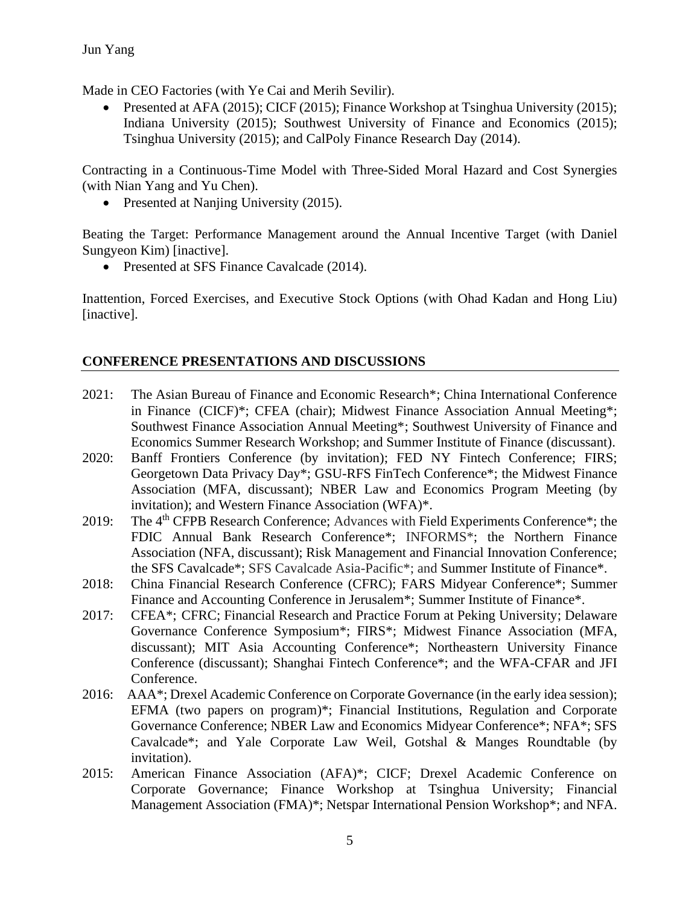Made in CEO Factories (with Ye Cai and Merih Sevilir).

• Presented at AFA (2015); CICF (2015); Finance Workshop at Tsinghua University (2015); Indiana University (2015); Southwest University of Finance and Economics (2015); Tsinghua University (2015); and CalPoly Finance Research Day (2014).

Contracting in a Continuous-Time Model with Three-Sided Moral Hazard and Cost Synergies (with Nian Yang and Yu Chen).

• Presented at Naniing University (2015).

Beating the Target: Performance Management around the Annual Incentive Target (with Daniel Sungyeon Kim) [inactive].

• Presented at SFS Finance Cavalcade (2014).

Inattention, Forced Exercises, and Executive Stock Options (with Ohad Kadan and Hong Liu) [inactive].

#### **CONFERENCE PRESENTATIONS AND DISCUSSIONS**

- 2021: The Asian Bureau of Finance and Economic Research\*; China International Conference in Finance (CICF)\*; CFEA (chair); Midwest Finance Association Annual Meeting\*; Southwest Finance Association Annual Meeting\*; Southwest University of Finance and Economics Summer Research Workshop; and Summer Institute of Finance (discussant).
- 2020: Banff Frontiers Conference (by invitation); FED NY Fintech Conference; FIRS; Georgetown Data Privacy Day\*; GSU-RFS FinTech Conference\*; the Midwest Finance Association (MFA, discussant); NBER Law and Economics Program Meeting (by invitation); and Western Finance Association (WFA)\*.
- 2019: The 4<sup>th</sup> CFPB Research Conference; Advances with Field Experiments Conference<sup>\*</sup>; the FDIC Annual Bank Research Conference\*; INFORMS\*; the Northern Finance Association (NFA, discussant); Risk Management and Financial Innovation Conference; the SFS Cavalcade\*; SFS Cavalcade Asia-Pacific\*; and Summer Institute of Finance\*.
- 2018: China Financial Research Conference (CFRC); FARS Midyear Conference\*; Summer Finance and Accounting Conference in Jerusalem\*; Summer Institute of Finance\*.
- 2017: CFEA\*; CFRC; Financial Research and Practice Forum at Peking University; Delaware Governance Conference Symposium\*; FIRS\*; Midwest Finance Association (MFA, discussant); MIT Asia Accounting Conference\*; Northeastern University Finance Conference (discussant); Shanghai Fintech Conference\*; and the WFA-CFAR and JFI Conference.
- 2016: AAA\*; Drexel Academic Conference on Corporate Governance (in the early idea session); EFMA (two papers on program)\*; [Financial Institutions, Regulation and Corporate](http://www.eventbrite.com.au/e/financial-institutions-regulation-and-corporate-governance-fircg-conference-registration-19774729749?utm_source=eb_email&utm_medium=email&utm_campaign=order_confirmation_email&utm_term=eventname&ref=eemailordconf)  [Governance Conference;](http://www.eventbrite.com.au/e/financial-institutions-regulation-and-corporate-governance-fircg-conference-registration-19774729749?utm_source=eb_email&utm_medium=email&utm_campaign=order_confirmation_email&utm_term=eventname&ref=eemailordconf) NBER Law and Economics Midyear Conference\*; NFA\*; SFS Cavalcade\*; and Yale Corporate Law Weil, Gotshal & Manges Roundtable (by invitation).
- 2015: American Finance Association (AFA)\*; CICF; Drexel Academic Conference on Corporate Governance; Finance Workshop at Tsinghua University; Financial Management Association (FMA)\*; Netspar International Pension Workshop\*; and NFA.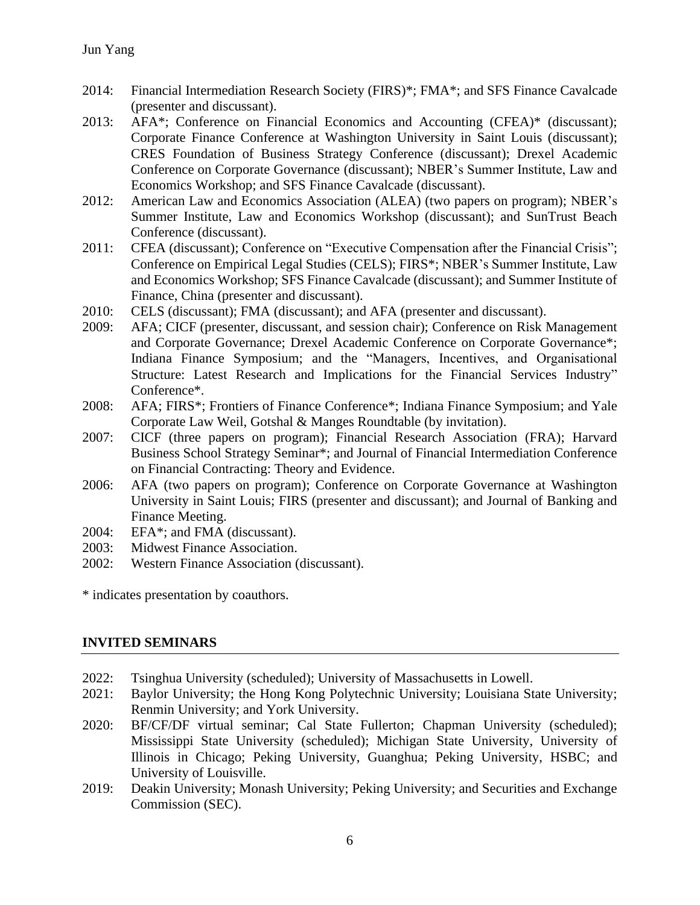- 2014: Financial Intermediation Research Society (FIRS)\*; FMA\*; and SFS Finance Cavalcade (presenter and discussant).
- 2013: AFA\*; Conference on Financial Economics and Accounting (CFEA)\* (discussant); Corporate Finance Conference at Washington University in Saint Louis (discussant); CRES Foundation of Business Strategy Conference (discussant); Drexel Academic Conference on Corporate Governance (discussant); NBER's Summer Institute, Law and Economics Workshop; and SFS Finance Cavalcade (discussant).
- 2012: American Law and Economics Association (ALEA) (two papers on program); NBER's Summer Institute, Law and Economics Workshop (discussant); and SunTrust Beach Conference (discussant).
- 2011: CFEA (discussant); Conference on "Executive Compensation after the Financial Crisis"; Conference on Empirical Legal Studies (CELS); FIRS\*; NBER's Summer Institute, Law and Economics Workshop; SFS Finance Cavalcade (discussant); and Summer Institute of Finance, China (presenter and discussant).
- 2010: CELS (discussant); FMA (discussant); and AFA (presenter and discussant).
- 2009: AFA; CICF (presenter, discussant, and session chair); Conference on Risk Management and Corporate Governance; Drexel Academic Conference on Corporate Governance\*; Indiana Finance Symposium; and the "Managers, Incentives, and Organisational Structure: Latest Research and Implications for the Financial Services Industry" Conference\*.
- 2008: AFA; FIRS\*; Frontiers of Finance Conference\*; Indiana Finance Symposium; and Yale Corporate Law Weil, Gotshal & Manges Roundtable (by invitation).
- 2007: CICF (three papers on program); Financial Research Association (FRA); Harvard Business School Strategy Seminar\*; and Journal of Financial Intermediation Conference on Financial Contracting: Theory and Evidence.
- 2006: AFA (two papers on program); Conference on Corporate Governance at Washington University in Saint Louis; FIRS (presenter and discussant); and Journal of Banking and Finance Meeting.
- 2004: EFA\*; and FMA (discussant).
- 2003: Midwest Finance Association.
- 2002: Western Finance Association (discussant).

\* indicates presentation by coauthors.

#### **INVITED SEMINARS**

- 2022: Tsinghua University (scheduled); University of Massachusetts in Lowell.
- 2021: Baylor University; the Hong Kong Polytechnic University; Louisiana State University; Renmin University; and York University.
- 2020: BF/CF/DF virtual seminar; Cal State Fullerton; Chapman University (scheduled); Mississippi State University (scheduled); Michigan State University, University of Illinois in Chicago; Peking University, Guanghua; Peking University, HSBC; and University of Louisville.
- 2019: Deakin University; Monash University; Peking University; and Securities and Exchange Commission (SEC).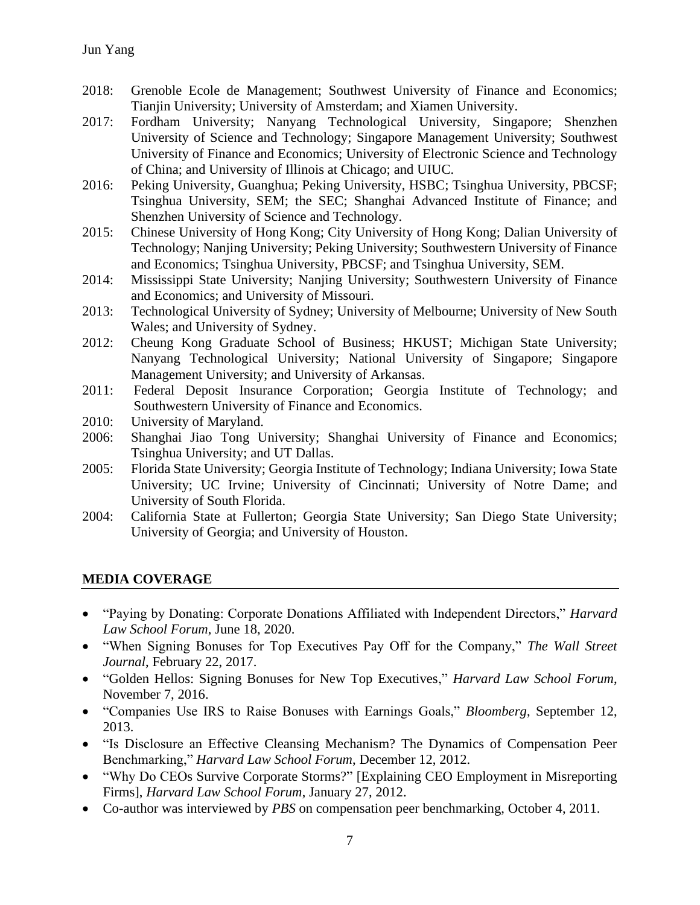- 2018: Grenoble Ecole de Management; Southwest University of Finance and Economics; Tianjin University; University of Amsterdam; and Xiamen University.
- 2017: Fordham University; Nanyang Technological University, Singapore; Shenzhen University of Science and Technology; Singapore Management University; Southwest University of Finance and Economics; University of Electronic Science and Technology of China; and University of Illinois at Chicago; and UIUC.
- 2016: Peking University, Guanghua; Peking University, HSBC; Tsinghua University, PBCSF; Tsinghua University, SEM; the SEC; Shanghai Advanced Institute of Finance; and Shenzhen University of Science and Technology.
- 2015: Chinese University of Hong Kong; City University of Hong Kong; Dalian University of Technology; Nanjing University; Peking University; Southwestern University of Finance and Economics; Tsinghua University, PBCSF; and Tsinghua University, SEM.
- 2014: Mississippi State University; Nanjing University; Southwestern University of Finance and Economics; and University of Missouri.
- 2013: Technological University of Sydney; University of Melbourne; University of New South Wales; and University of Sydney.
- 2012: Cheung Kong Graduate School of Business; HKUST; Michigan State University; Nanyang Technological University; National University of Singapore; Singapore Management University; and University of Arkansas.
- 2011: Federal Deposit Insurance Corporation; Georgia Institute of Technology; and Southwestern University of Finance and Economics.
- 2010: University of Maryland.
- 2006: Shanghai Jiao Tong University; Shanghai University of Finance and Economics; Tsinghua University; and UT Dallas.
- 2005: Florida State University; Georgia Institute of Technology; Indiana University; Iowa State University; UC Irvine; University of Cincinnati; University of Notre Dame; and University of South Florida.
- 2004: California State at Fullerton; Georgia State University; San Diego State University; University of Georgia; and University of Houston.

#### **MEDIA COVERAGE**

- "Paying by Donating: Corporate Donations Affiliated with Independent Directors," *Harvard Law School Forum*, June 18, 2020.
- "When Signing Bonuses for Top Executives Pay Off for the Company," *The Wall Street Journal*, February 22, 2017.
- ["Golden Hellos: Signing Bonuses for New Top Executives,](https://corpgov.law.harvard.edu/2016/11/07/golden-hellos-signing-bonuses-for-new-top-executives/)" *Harvard Law School Forum*, November 7, 2016.
- "Companies Use IRS to Raise Bonuses with Earnings Goals," *Bloomberg*, September 12, 2013.
- "Is Disclosure an Effective Cleansing Mechanism? The Dynamics of Compensation Peer Benchmarking," *Harvard Law School Forum*, December 12, 2012.
- "Why Do CEOs Survive Corporate Storms?" [Explaining CEO Employment in Misreporting Firms], *Harvard Law School Forum*, January 27, 2012.
- Co-author was interviewed by *PBS* on compensation peer benchmarking, October 4, 2011.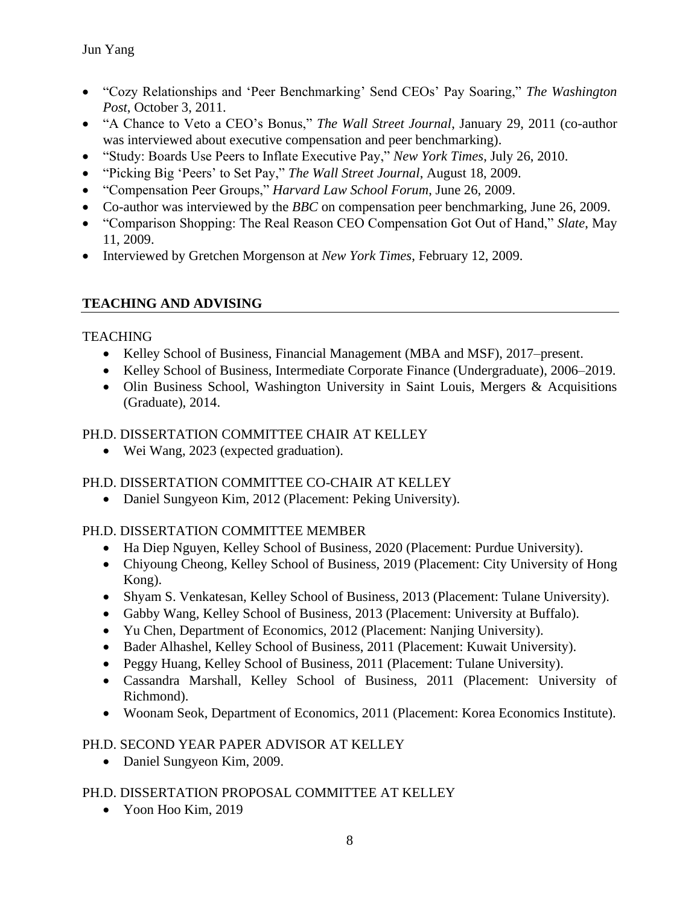- "Cozy Relationships and 'Peer Benchmarking' Send CEOs' Pay Soaring," *The Washington Post*, October 3, 2011.
- "A Chance to Veto a CEO's Bonus," *The Wall Street Journal*, January 29, 2011 (co-author was interviewed about executive compensation and peer benchmarking).
- "Study: Boards Use Peers to Inflate Executive Pay," *New York Times*, July 26, 2010.
- "Picking Big 'Peers' to Set Pay," *The Wall Street Journal*, August 18, 2009.
- "Compensation Peer Groups," *Harvard Law School Forum*, June 26, 2009.
- Co-author was interviewed by the *BBC* on compensation peer benchmarking, June 26, 2009.
- "Comparison Shopping: The Real Reason CEO Compensation Got Out of Hand," *Slate*, May 11, 2009.
- Interviewed by Gretchen Morgenson at *New York Times*, February 12, 2009.

## **TEACHING AND ADVISING**

### **TEACHING**

- Kelley School of Business, Financial Management (MBA and MSF), 2017–present.
- Kelley School of Business, Intermediate Corporate Finance (Undergraduate), 2006–2019.
- Olin Business School, Washington University in Saint Louis, Mergers & Acquisitions (Graduate), 2014.

## PH.D. DISSERTATION COMMITTEE CHAIR AT KELLEY

• Wei Wang, 2023 (expected graduation).

## PH.D. DISSERTATION COMMITTEE CO-CHAIR AT KELLEY

• Daniel Sungyeon Kim, 2012 (Placement: Peking University).

## PH.D. DISSERTATION COMMITTEE MEMBER

- Ha Diep Nguyen, Kelley School of Business, 2020 (Placement: Purdue University).
- Chiyoung Cheong, Kelley School of Business, 2019 (Placement: City University of Hong Kong).
- Shyam S. Venkatesan, Kelley School of Business, 2013 (Placement: Tulane University).
- Gabby Wang, Kelley School of Business, 2013 (Placement: University at Buffalo).
- Yu Chen, Department of Economics, 2012 (Placement: Nanjing University).
- Bader Alhashel, Kelley School of Business, 2011 (Placement: Kuwait University).
- Peggy Huang, Kelley School of Business, 2011 (Placement: Tulane University).
- Cassandra Marshall, Kelley School of Business, 2011 (Placement: University of Richmond).
- Woonam Seok, Department of Economics, 2011 (Placement: Korea Economics Institute).

### PH.D. SECOND YEAR PAPER ADVISOR AT KELLEY

• Daniel Sungyeon Kim, 2009.

## PH.D. DISSERTATION PROPOSAL COMMITTEE AT KELLEY

• Yoon Hoo Kim, 2019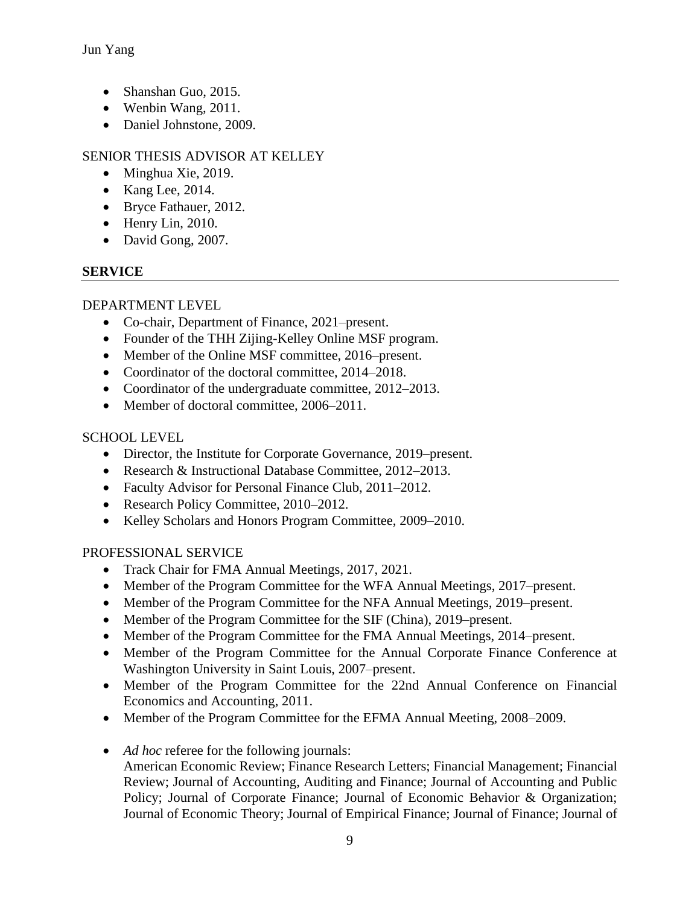Jun Yang

- Shanshan Guo, 2015.
- Wenbin Wang, 2011.
- Daniel Johnstone, 2009.

## SENIOR THESIS ADVISOR AT KELLEY

- Minghua Xie, 2019.
- Kang Lee,  $2014$ .
- Bryce Fathauer, 2012.
- Henry Lin, 2010.
- David Gong, 2007.

## **SERVICE**

### DEPARTMENT LEVEL

- Co-chair, Department of Finance, 2021–present.
- Founder of the THH Zijing-Kelley Online MSF program.
- Member of the Online MSF committee, 2016–present.
- Coordinator of the doctoral committee, 2014–2018.
- Coordinator of the undergraduate committee, 2012–2013.
- Member of doctoral committee, 2006–2011.

### SCHOOL LEVEL

- Director, the Institute for Corporate Governance, 2019–present.
- Research & Instructional Database Committee, 2012–2013.
- Faculty Advisor for Personal Finance Club, 2011–2012.
- Research Policy Committee, 2010–2012.
- Kelley Scholars and Honors Program Committee, 2009–2010.

### PROFESSIONAL SERVICE

- Track Chair for FMA Annual Meetings, 2017, 2021.
- Member of the Program Committee for the WFA Annual Meetings, 2017–present.
- Member of the Program Committee for the NFA Annual Meetings, 2019–present.
- Member of the Program Committee for the SIF (China), 2019–present.
- Member of the Program Committee for the FMA Annual Meetings, 2014–present.
- Member of the Program Committee for the Annual Corporate Finance Conference at Washington University in Saint Louis, 2007–present.
- Member of the Program Committee for the 22nd Annual Conference on Financial Economics and Accounting, 2011.
- Member of the Program Committee for the EFMA Annual Meeting, 2008–2009.
- *Ad hoc* referee for the following journals:
	- American Economic Review; Finance Research Letters; Financial Management; Financial Review; Journal of Accounting, Auditing and Finance; Journal of Accounting and Public Policy; Journal of Corporate Finance; Journal of Economic Behavior & Organization; Journal of Economic Theory; Journal of Empirical Finance; Journal of Finance; Journal of